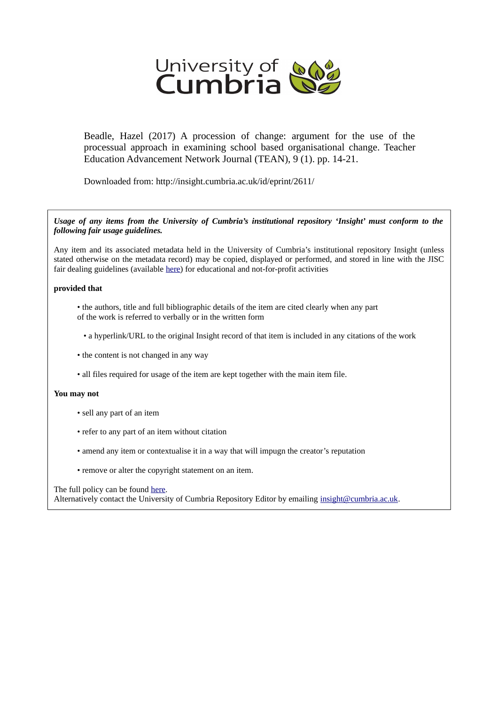

Beadle, Hazel (2017) A procession of change: argument for the use of the processual approach in examining school based organisational change. Teacher Education Advancement Network Journal (TEAN), 9 (1). pp. 14-21.

Downloaded from: http://insight.cumbria.ac.uk/id/eprint/2611/

*Usage of any items from the University of Cumbria's institutional repository 'Insight' must conform to the following fair usage guidelines.*

Any item and its associated metadata held in the University of Cumbria's institutional repository Insight (unless stated otherwise on the metadata record) may be copied, displayed or performed, and stored in line with the JISC fair dealing guidelines (available [here\)](http://www.ukoln.ac.uk/services/elib/papers/pa/fair/) for educational and not-for-profit activities

#### **provided that**

- the authors, title and full bibliographic details of the item are cited clearly when any part of the work is referred to verbally or in the written form
	- a hyperlink/URL to the original Insight record of that item is included in any citations of the work
- the content is not changed in any way
- all files required for usage of the item are kept together with the main item file.

#### **You may not**

- sell any part of an item
- refer to any part of an item without citation
- amend any item or contextualise it in a way that will impugn the creator's reputation
- remove or alter the copyright statement on an item.

#### The full policy can be found [here.](http://insight.cumbria.ac.uk/legal.html#section5)

Alternatively contact the University of Cumbria Repository Editor by emailing [insight@cumbria.ac.uk.](mailto:insight@cumbria.ac.uk)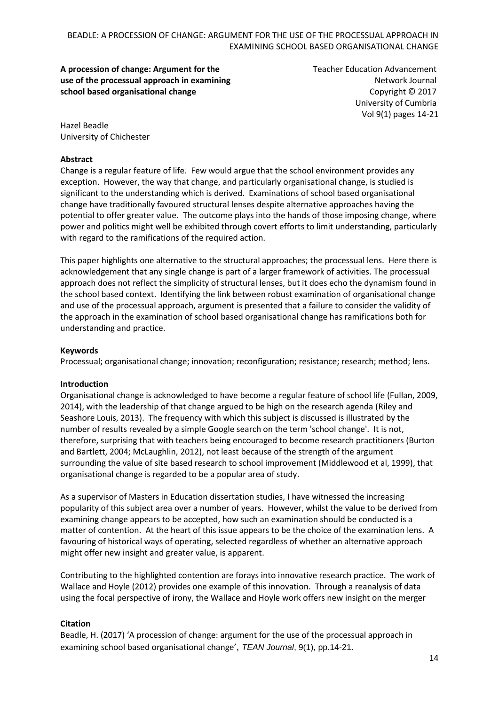# **A procession of change: Argument for the use of the processual approach in examining school based organisational change**

Teacher Education Advancement Network Journal Copyright © 2017 University of Cumbria Vol 9(1) pages 14-21

Hazel Beadle University of Chichester

#### **Abstract**

Change is a regular feature of life. Few would argue that the school environment provides any exception. However, the way that change, and particularly organisational change, is studied is significant to the understanding which is derived. Examinations of school based organisational change have traditionally favoured structural lenses despite alternative approaches having the potential to offer greater value. The outcome plays into the hands of those imposing change, where power and politics might well be exhibited through covert efforts to limit understanding, particularly with regard to the ramifications of the required action.

This paper highlights one alternative to the structural approaches; the processual lens. Here there is acknowledgement that any single change is part of a larger framework of activities. The processual approach does not reflect the simplicity of structural lenses, but it does echo the dynamism found in the school based context. Identifying the link between robust examination of organisational change and use of the processual approach, argument is presented that a failure to consider the validity of the approach in the examination of school based organisational change has ramifications both for understanding and practice.

# **Keywords**

Processual; organisational change; innovation; reconfiguration; resistance; research; method; lens.

#### **Introduction**

Organisational change is acknowledged to have become a regular feature of school life (Fullan, 2009, 2014), with the leadership of that change argued to be high on the research agenda (Riley and Seashore Louis, 2013). The frequency with which this subject is discussed is illustrated by the number of results revealed by a simple Google search on the term 'school change'. It is not, therefore, surprising that with teachers being encouraged to become research practitioners (Burton and Bartlett, 2004; McLaughlin, 2012), not least because of the strength of the argument surrounding the value of site based research to school improvement (Middlewood et al, 1999), that organisational change is regarded to be a popular area of study.

As a supervisor of Masters in Education dissertation studies, I have witnessed the increasing popularity of this subject area over a number of years. However, whilst the value to be derived from examining change appears to be accepted, how such an examination should be conducted is a matter of contention. At the heart of this issue appears to be the choice of the examination lens. A favouring of historical ways of operating, selected regardless of whether an alternative approach might offer new insight and greater value, is apparent.

Contributing to the highlighted contention are forays into innovative research practice. The work of Wallace and Hoyle (2012) provides one example of this innovation. Through a reanalysis of data using the focal perspective of irony, the Wallace and Hoyle work offers new insight on the merger

# **Citation**

Beadle, H. (2017) 'A procession of change: argument for the use of the processual approach in examining school based organisational change', *TEAN Journal*, 9(1), pp.14-21.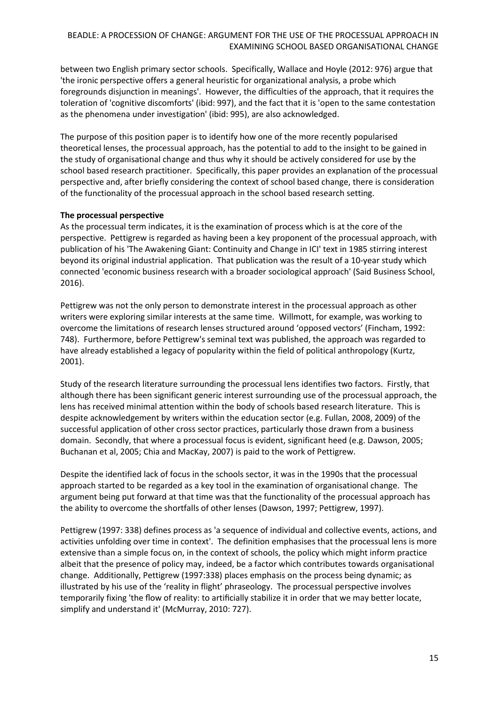between two English primary sector schools. Specifically, Wallace and Hoyle (2012: 976) argue that 'the ironic perspective offers a general heuristic for organizational analysis, a probe which foregrounds disjunction in meanings'. However, the difficulties of the approach, that it requires the toleration of 'cognitive discomforts' (ibid: 997), and the fact that it is 'open to the same contestation as the phenomena under investigation' (ibid: 995), are also acknowledged.

The purpose of this position paper is to identify how one of the more recently popularised theoretical lenses, the processual approach, has the potential to add to the insight to be gained in the study of organisational change and thus why it should be actively considered for use by the school based research practitioner. Specifically, this paper provides an explanation of the processual perspective and, after briefly considering the context of school based change, there is consideration of the functionality of the processual approach in the school based research setting.

# **The processual perspective**

As the processual term indicates, it is the examination of process which is at the core of the perspective. Pettigrew is regarded as having been a key proponent of the processual approach, with publication of his 'The Awakening Giant: Continuity and Change in ICI' text in 1985 stirring interest beyond its original industrial application. That publication was the result of a 10-year study which connected 'economic business research with a broader sociological approach' (Said Business School, 2016).

Pettigrew was not the only person to demonstrate interest in the processual approach as other writers were exploring similar interests at the same time. Willmott, for example, was working to overcome the limitations of research lenses structured around 'opposed vectors' (Fincham, 1992: 748). Furthermore, before Pettigrew's seminal text was published, the approach was regarded to have already established a legacy of popularity within the field of political anthropology (Kurtz, 2001).

Study of the research literature surrounding the processual lens identifies two factors. Firstly, that although there has been significant generic interest surrounding use of the processual approach, the lens has received minimal attention within the body of schools based research literature. This is despite acknowledgement by writers within the education sector (e.g. Fullan, 2008, 2009) of the successful application of other cross sector practices, particularly those drawn from a business domain. Secondly, that where a processual focus is evident, significant heed (e.g. Dawson, 2005; Buchanan et al, 2005; Chia and MacKay, 2007) is paid to the work of Pettigrew.

Despite the identified lack of focus in the schools sector, it was in the 1990s that the processual approach started to be regarded as a key tool in the examination of organisational change. The argument being put forward at that time was that the functionality of the processual approach has the ability to overcome the shortfalls of other lenses (Dawson, 1997; Pettigrew, 1997).

Pettigrew (1997: 338) defines process as 'a sequence of individual and collective events, actions, and activities unfolding over time in context'. The definition emphasises that the processual lens is more extensive than a simple focus on, in the context of schools, the policy which might inform practice albeit that the presence of policy may, indeed, be a factor which contributes towards organisational change. Additionally, Pettigrew (1997:338) places emphasis on the process being dynamic; as illustrated by his use of the 'reality in flight' phraseology. The processual perspective involves temporarily fixing 'the flow of reality: to artificially stabilize it in order that we may better locate, simplify and understand it' (McMurray, 2010: 727).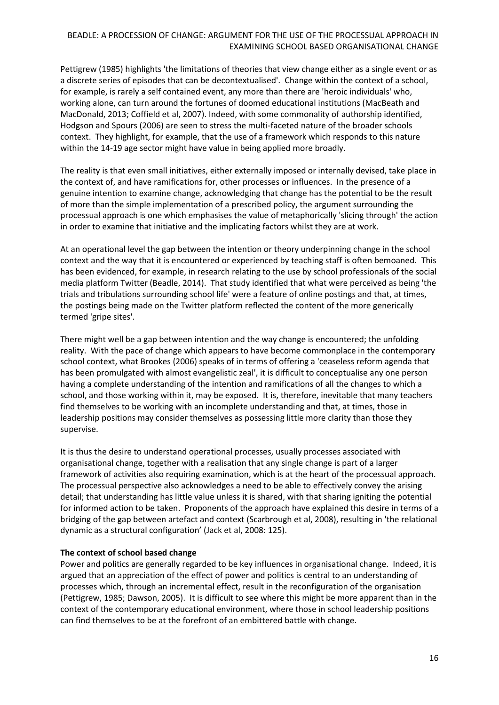Pettigrew (1985) highlights 'the limitations of theories that view change either as a single event or as a discrete series of episodes that can be decontextualised'. Change within the context of a school, for example, is rarely a self contained event, any more than there are 'heroic individuals' who, working alone, can turn around the fortunes of doomed educational institutions (MacBeath and MacDonald, 2013; Coffield et al, 2007). Indeed, with some commonality of authorship identified, Hodgson and Spours (2006) are seen to stress the multi-faceted nature of the broader schools context. They highlight, for example, that the use of a framework which responds to this nature within the 14-19 age sector might have value in being applied more broadly.

The reality is that even small initiatives, either externally imposed or internally devised, take place in the context of, and have ramifications for, other processes or influences. In the presence of a genuine intention to examine change, acknowledging that change has the potential to be the result of more than the simple implementation of a prescribed policy, the argument surrounding the processual approach is one which emphasises the value of metaphorically 'slicing through' the action in order to examine that initiative and the implicating factors whilst they are at work.

At an operational level the gap between the intention or theory underpinning change in the school context and the way that it is encountered or experienced by teaching staff is often bemoaned. This has been evidenced, for example, in research relating to the use by school professionals of the social media platform Twitter (Beadle, 2014). That study identified that what were perceived as being 'the trials and tribulations surrounding school life' were a feature of online postings and that, at times, the postings being made on the Twitter platform reflected the content of the more generically termed 'gripe sites'.

There might well be a gap between intention and the way change is encountered; the unfolding reality. With the pace of change which appears to have become commonplace in the contemporary school context, what Brookes (2006) speaks of in terms of offering a 'ceaseless reform agenda that has been promulgated with almost evangelistic zeal', it is difficult to conceptualise any one person having a complete understanding of the intention and ramifications of all the changes to which a school, and those working within it, may be exposed. It is, therefore, inevitable that many teachers find themselves to be working with an incomplete understanding and that, at times, those in leadership positions may consider themselves as possessing little more clarity than those they supervise.

It is thus the desire to understand operational processes, usually processes associated with organisational change, together with a realisation that any single change is part of a larger framework of activities also requiring examination, which is at the heart of the processual approach. The processual perspective also acknowledges a need to be able to effectively convey the arising detail; that understanding has little value unless it is shared, with that sharing igniting the potential for informed action to be taken. Proponents of the approach have explained this desire in terms of a bridging of the gap between artefact and context (Scarbrough et al, 2008), resulting in 'the relational dynamic as a structural configuration' (Jack et al, 2008: 125).

#### **The context of school based change**

Power and politics are generally regarded to be key influences in organisational change. Indeed, it is argued that an appreciation of the effect of power and politics is central to an understanding of processes which, through an incremental effect, result in the reconfiguration of the organisation (Pettigrew, 1985; Dawson, 2005). It is difficult to see where this might be more apparent than in the context of the contemporary educational environment, where those in school leadership positions can find themselves to be at the forefront of an embittered battle with change.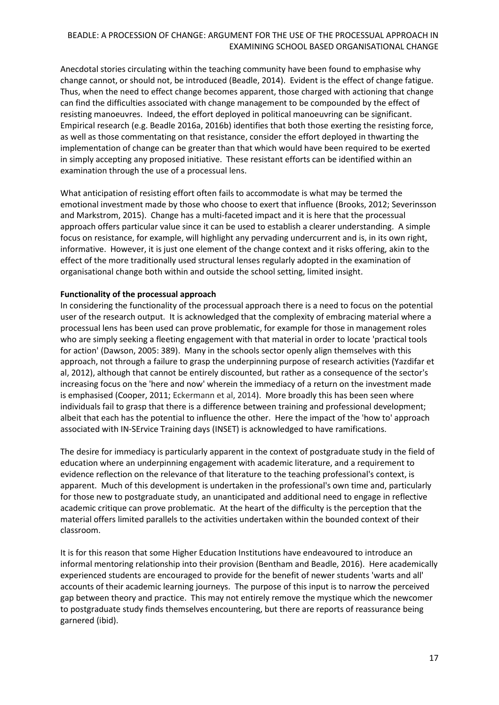Anecdotal stories circulating within the teaching community have been found to emphasise why change cannot, or should not, be introduced (Beadle, 2014). Evident is the effect of change fatigue. Thus, when the need to effect change becomes apparent, those charged with actioning that change can find the difficulties associated with change management to be compounded by the effect of resisting manoeuvres. Indeed, the effort deployed in political manoeuvring can be significant. Empirical research (e.g. Beadle 2016a, 2016b) identifies that both those exerting the resisting force, as well as those commentating on that resistance, consider the effort deployed in thwarting the implementation of change can be greater than that which would have been required to be exerted in simply accepting any proposed initiative. These resistant efforts can be identified within an examination through the use of a processual lens.

What anticipation of resisting effort often fails to accommodate is what may be termed the emotional investment made by those who choose to exert that influence (Brooks, 2012; Severinsson and Markstrom, 2015). Change has a multi-faceted impact and it is here that the processual approach offers particular value since it can be used to establish a clearer understanding. A simple focus on resistance, for example, will highlight any pervading undercurrent and is, in its own right, informative. However, it is just one element of the change context and it risks offering, akin to the effect of the more traditionally used structural lenses regularly adopted in the examination of organisational change both within and outside the school setting, limited insight.

#### **Functionality of the processual approach**

In considering the functionality of the processual approach there is a need to focus on the potential user of the research output. It is acknowledged that the complexity of embracing material where a processual lens has been used can prove problematic, for example for those in management roles who are simply seeking a fleeting engagement with that material in order to locate 'practical tools for action' (Dawson, 2005: 389). Many in the schools sector openly align themselves with this approach, not through a failure to grasp the underpinning purpose of research activities (Yazdifar et al, 2012), although that cannot be entirely discounted, but rather as a consequence of the sector's increasing focus on the 'here and now' wherein the immediacy of a return on the investment made is emphasised (Cooper, 2011; Eckermann et al, 2014). More broadly this has been seen where individuals fail to grasp that there is a difference between training and professional development; albeit that each has the potential to influence the other. Here the impact of the 'how to' approach associated with IN-SErvice Training days (INSET) is acknowledged to have ramifications.

The desire for immediacy is particularly apparent in the context of postgraduate study in the field of education where an underpinning engagement with academic literature, and a requirement to evidence reflection on the relevance of that literature to the teaching professional's context, is apparent. Much of this development is undertaken in the professional's own time and, particularly for those new to postgraduate study, an unanticipated and additional need to engage in reflective academic critique can prove problematic. At the heart of the difficulty is the perception that the material offers limited parallels to the activities undertaken within the bounded context of their classroom.

It is for this reason that some Higher Education Institutions have endeavoured to introduce an informal mentoring relationship into their provision (Bentham and Beadle, 2016). Here academically experienced students are encouraged to provide for the benefit of newer students 'warts and all' accounts of their academic learning journeys. The purpose of this input is to narrow the perceived gap between theory and practice. This may not entirely remove the mystique which the newcomer to postgraduate study finds themselves encountering, but there are reports of reassurance being garnered (ibid).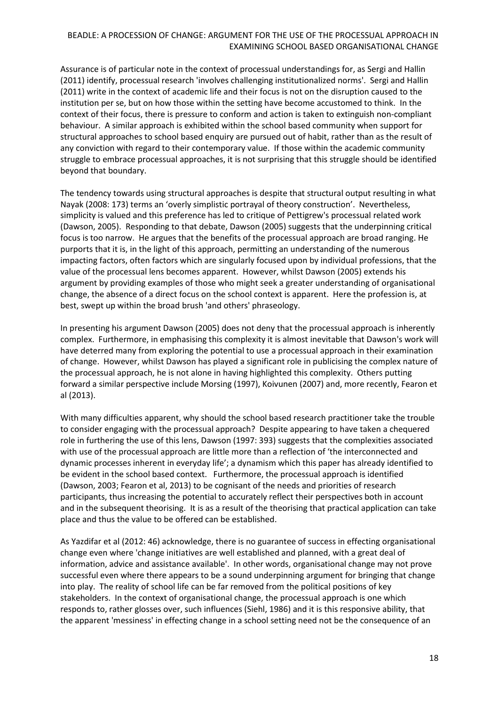Assurance is of particular note in the context of processual understandings for, as Sergi and Hallin (2011) identify, processual research 'involves challenging institutionalized norms'. Sergi and Hallin (2011) write in the context of academic life and their focus is not on the disruption caused to the institution per se, but on how those within the setting have become accustomed to think. In the context of their focus, there is pressure to conform and action is taken to extinguish non-compliant behaviour. A similar approach is exhibited within the school based community when support for structural approaches to school based enquiry are pursued out of habit, rather than as the result of any conviction with regard to their contemporary value. If those within the academic community struggle to embrace processual approaches, it is not surprising that this struggle should be identified beyond that boundary.

The tendency towards using structural approaches is despite that structural output resulting in what Nayak (2008: 173) terms an 'overly simplistic portrayal of theory construction'. Nevertheless, simplicity is valued and this preference has led to critique of Pettigrew's processual related work (Dawson, 2005). Responding to that debate, Dawson (2005) suggests that the underpinning critical focus is too narrow. He argues that the benefits of the processual approach are broad ranging. He purports that it is, in the light of this approach, permitting an understanding of the numerous impacting factors, often factors which are singularly focused upon by individual professions, that the value of the processual lens becomes apparent. However, whilst Dawson (2005) extends his argument by providing examples of those who might seek a greater understanding of organisational change, the absence of a direct focus on the school context is apparent. Here the profession is, at best, swept up within the broad brush 'and others' phraseology.

In presenting his argument Dawson (2005) does not deny that the processual approach is inherently complex. Furthermore, in emphasising this complexity it is almost inevitable that Dawson's work will have deterred many from exploring the potential to use a processual approach in their examination of change. However, whilst Dawson has played a significant role in publicising the complex nature of the processual approach, he is not alone in having highlighted this complexity. Others putting forward a similar perspective include Morsing (1997), Koivunen (2007) and, more recently, Fearon et al (2013).

With many difficulties apparent, why should the school based research practitioner take the trouble to consider engaging with the processual approach? Despite appearing to have taken a chequered role in furthering the use of this lens, Dawson (1997: 393) suggests that the complexities associated with use of the processual approach are little more than a reflection of 'the interconnected and dynamic processes inherent in everyday life'; a dynamism which this paper has already identified to be evident in the school based context. Furthermore, the processual approach is identified (Dawson, 2003; Fearon et al, 2013) to be cognisant of the needs and priorities of research participants, thus increasing the potential to accurately reflect their perspectives both in account and in the subsequent theorising. It is as a result of the theorising that practical application can take place and thus the value to be offered can be established.

As Yazdifar et al (2012: 46) acknowledge, there is no guarantee of success in effecting organisational change even where 'change initiatives are well established and planned, with a great deal of information, advice and assistance available'. In other words, organisational change may not prove successful even where there appears to be a sound underpinning argument for bringing that change into play. The reality of school life can be far removed from the political positions of key stakeholders. In the context of organisational change, the processual approach is one which responds to, rather glosses over, such influences (Siehl, 1986) and it is this responsive ability, that the apparent 'messiness' in effecting change in a school setting need not be the consequence of an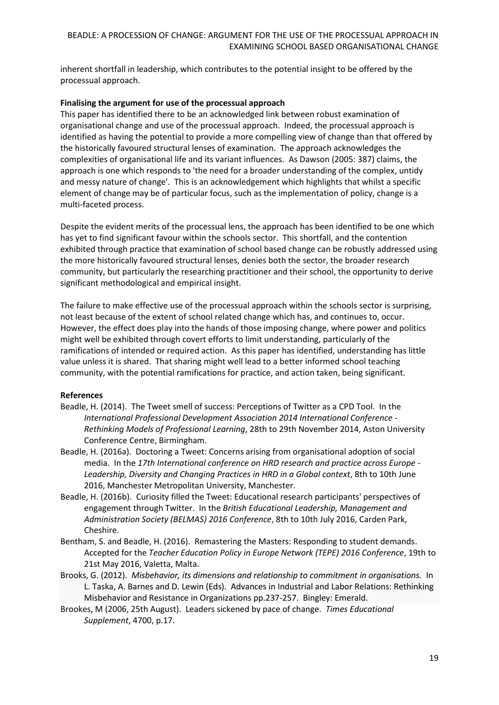inherent shortfall in leadership, which contributes to the potential insight to be offered by the processual approach.

#### **Finalising the argument for use of the processual approach**

This paper has identified there to be an acknowledged link between robust examination of organisational change and use of the processual approach. Indeed, the processual approach is identified as having the potential to provide a more compelling view of change than that offered by the historically favoured structural lenses of examination. The approach acknowledges the complexities of organisational life and its variant influences. As Dawson (2005: 387) claims, the approach is one which responds to 'the need for a broader understanding of the complex, untidy and messy nature of change'. This is an acknowledgement which highlights that whilst a specific element of change may be of particular focus, such as the implementation of policy, change is a multi-faceted process.

Despite the evident merits of the processual lens, the approach has been identified to be one which has yet to find significant favour within the schools sector. This shortfall, and the contention exhibited through practice that examination of school based change can be robustly addressed using the more historically favoured structural lenses, denies both the sector, the broader research community, but particularly the researching practitioner and their school, the opportunity to derive significant methodological and empirical insight.

The failure to make effective use of the processual approach within the schools sector is surprising, not least because of the extent of school related change which has, and continues to, occur. However, the effect does play into the hands of those imposing change, where power and politics might well be exhibited through covert efforts to limit understanding, particularly of the ramifications of intended or required action. As this paper has identified, understanding has little value unless it is shared. That sharing might well lead to a better informed school teaching community, with the potential ramifications for practice, and action taken, being significant.

#### **References**

- Beadle, H. (2014). The Tweet smell of success: Perceptions of Twitter as a CPD Tool. In the *International Professional Development Association 2014 International Conference - Rethinking Models of Professional Learning*, 28th to 29th November 2014, Aston University Conference Centre, Birmingham.
- Beadle, H. (2016a). Doctoring a Tweet: Concerns arising from organisational adoption of social media. In the *17th International conference on HRD research and practice across Europe - Leadership, Diversity and Changing Practices in HRD in a Global context*, 8th to 10th June 2016, Manchester Metropolitan University, Manchester.
- Beadle, H. (2016b). Curiosity filled the Tweet: Educational research participants' perspectives of engagement through Twitter. In the *British Educational Leadership, Management and Administration Society (BELMAS) 2016 Conference*, 8th to 10th July 2016, Carden Park, Cheshire.
- Bentham, S. and Beadle, H. (2016). Remastering the Masters: Responding to student demands. Accepted for the *Teacher Education Policy in Europe Network (TEPE) 2016 Conference*, 19th to 21st May 2016, Valetta, Malta.
- Brooks, G. (2012). *Misbehavior, its dimensions and relationship to commitment in organisations.* In L. Taska, A. Barnes and D. Lewin (Eds). Advances in Industrial and Labor Relations: Rethinking Misbehavior and Resistance in Organizations pp.237-257. Bingley: Emerald.
- Brookes, M (2006, 25th August). Leaders sickened by pace of change. *Times Educational Supplement*, 4700, p.17.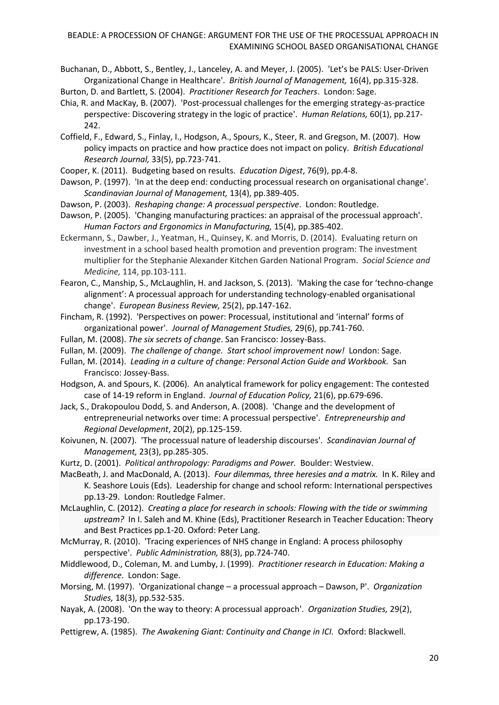Buchanan, D., Abbott, S., Bentley, J., Lanceley, A. and Meyer, J. (2005). 'Let's be PALS: User-Driven Organizational Change in Healthcare'. *British Journal of Management,* 16(4), pp.315-328.

Burton, D. and Bartlett, S. (2004). *Practitioner Research for Teachers*. London: Sage.

- Chia, R. and MacKay, B. (2007). 'Post-processual challenges for the emerging strategy-as-practice perspective: Discovering strategy in the logic of practice'. *Human Relations,* 60(1), pp.217- 242.
- Coffield, F., Edward, S., Finlay, I., Hodgson, A., Spours, K., Steer, R. and Gregson, M. (2007). How policy impacts on practice and how practice does not impact on policy. *British Educational Research Journal,* 33(5), pp.723-741.

Cooper, K. (2011). Budgeting based on results. *Education Digest*, 76(9), pp.4-8.

- Dawson, P. (1997). 'In at the deep end: conducting processual research on organisational change'. *Scandinavian Journal of Management,* 13(4), pp.389-405.
- Dawson, P. (2003). *Reshaping change: A processual perspective*. London: Routledge.
- Dawson, P. (2005). 'Changing manufacturing practices: an appraisal of the processual approach'. *Human Factors and Ergonomics in Manufacturing,* 15(4), pp.385-402.
- Eckermann, S., Dawber, J., Yeatman, H., Quinsey, K. and Morris, D. (2014). Evaluating return on investment in a school based health promotion and prevention program: The investment multiplier for the Stephanie Alexander Kitchen Garden National Program. *Social Science and Medicine,* 114, pp.103-111.
- Fearon, C., Manship, S., McLaughlin, H. and Jackson, S. (2013). 'Making the case for 'techno-change alignment': A processual approach for understanding technology-enabled organisational change'. *European Business Review,* 25(2), pp.147-162.
- Fincham, R. (1992). 'Perspectives on power: Processual, institutional and 'internal' forms of organizational power'. *Journal of Management Studies,* 29(6), pp.741-760.
- Fullan, M. (2008). *The six secrets of change*. San Francisco: Jossey-Bass.
- Fullan, M. (2009). *The challenge of change. Start school improvement now!* London: Sage.
- Fullan, M. (2014). *Leading in a culture of change: Personal Action Guide and Workbook.* San Francisco: Jossey-Bass.
- Hodgson, A. and Spours, K. (2006). An analytical framework for policy engagement: The contested case of 14-19 reform in England. *Journal of Education Policy,* 21(6), pp.679-696.
- Jack, S., Drakopoulou Dodd, S. and Anderson, A. (2008). 'Change and the development of entrepreneurial networks over time: A processual perspective'. *Entrepreneurship and Regional Development*, 20(2), pp.125-159.
- Koivunen, N. (2007). 'The processual nature of leadership discourses'. *Scandinavian Journal of Management,* 23(3), pp.285-305.
- Kurtz, D. (2001). *Political anthropology: Paradigms and Power.* Boulder: Westview.
- MacBeath, J. and MacDonald, A. (2013). *Four dilemmas, three heresies and a matrix.* In K. Riley and K. Seashore Louis (Eds). Leadership for change and school reform: International perspectives pp.13-29. London: Routledge Falmer.
- McLaughlin, C. (2012). *Creating a place for research in schools: Flowing with the tide or swimming upstream?* In I. Saleh and M. Khine (Eds), Practitioner Research in Teacher Education: Theory and Best Practices pp.1-20. Oxford: Peter Lang.
- McMurray, R. (2010). 'Tracing experiences of NHS change in England: A process philosophy perspective'. *Public Administration,* 88(3), pp.724-740.
- Middlewood, D., Coleman, M. and Lumby, J. (1999). *Practitioner research in Education: Making a difference*. London: Sage.
- Morsing, M. (1997). 'Organizational change a processual approach Dawson, P'. *Organization Studies,* 18(3), pp.532-535.
- Nayak, A. (2008). 'On the way to theory: A processual approach'. *Organization Studies,* 29(2), pp.173-190.
- Pettigrew, A. (1985). *The Awakening Giant: Continuity and Change in ICI.* Oxford: Blackwell.